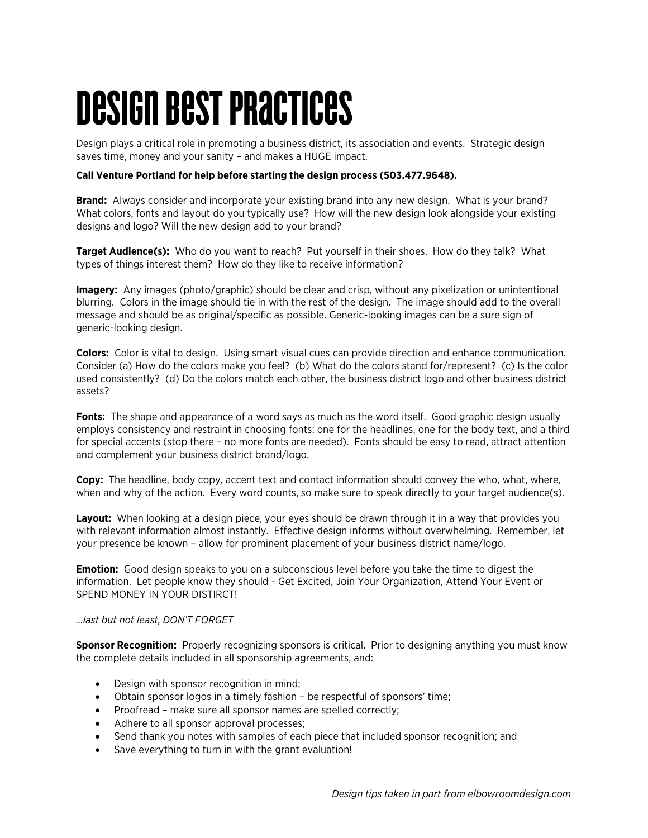# Design Best Practices

Design plays a critical role in promoting a business district, its association and events. Strategic design saves time, money and your sanity – and makes a HUGE impact.

#### **Call Venture Portland for help before starting the design process (503.477.9648).**

**Brand:** Always consider and incorporate your existing brand into any new design. What is your brand? What colors, fonts and layout do you typically use? How will the new design look alongside your existing designs and logo? Will the new design add to your brand?

**Target Audience(s):** Who do you want to reach? Put yourself in their shoes. How do they talk? What types of things interest them? How do they like to receive information?

**Imagery:** Any images (photo/graphic) should be clear and crisp, without any pixelization or unintentional blurring. Colors in the image should tie in with the rest of the design. The image should add to the overall message and should be as original/specific as possible. Generic-looking images can be a sure sign of generic-looking design.

**Colors:** Color is vital to design. Using smart visual cues can provide direction and enhance communication. Consider (a) How do the colors make you feel? (b) What do the colors stand for/represent? (c) Is the color used consistently? (d) Do the colors match each other, the business district logo and other business district assets?

**Fonts:** The shape and appearance of a word says as much as the word itself. Good graphic design usually employs consistency and restraint in choosing fonts: one for the headlines, one for the body text, and a third for special accents (stop there – no more fonts are needed). Fonts should be easy to read, attract attention and complement your business district brand/logo.

**Copy:** The headline, body copy, accent text and contact information should convey the who, what, where, when and why of the action. Every word counts, so make sure to speak directly to your target audience(s).

**Layout:** When looking at a design piece, your eyes should be drawn through it in a way that provides you with relevant information almost instantly. Effective design informs without overwhelming. Remember, let your presence be known – allow for prominent placement of your business district name/logo.

**Emotion:** Good design speaks to you on a subconscious level before you take the time to digest the information. Let people know they should - Get Excited, Join Your Organization, Attend Your Event or SPEND MONEY IN YOUR DISTIRCT!

#### *…last but not least, DON'T FORGET*

**Sponsor Recognition:** Properly recognizing sponsors is critical. Prior to designing anything you must know the complete details included in all sponsorship agreements, and:

- Design with sponsor recognition in mind;
- Obtain sponsor logos in a timely fashion be respectful of sponsors' time;
- Proofread make sure all sponsor names are spelled correctly;
- Adhere to all sponsor approval processes;
- Send thank you notes with samples of each piece that included sponsor recognition; and
- Save everything to turn in with the grant evaluation!